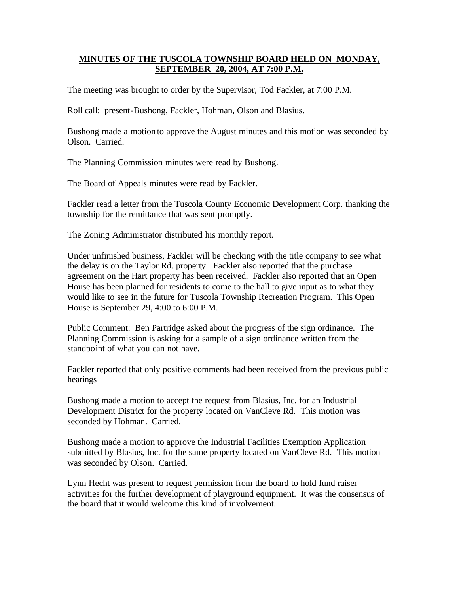## **MINUTES OF THE TUSCOLA TOWNSHIP BOARD HELD ON MONDAY, SEPTEMBER 20, 2004, AT 7:00 P.M.**

The meeting was brought to order by the Supervisor, Tod Fackler, at 7:00 P.M.

Roll call: present-Bushong, Fackler, Hohman, Olson and Blasius.

Bushong made a motion to approve the August minutes and this motion was seconded by Olson. Carried.

The Planning Commission minutes were read by Bushong.

The Board of Appeals minutes were read by Fackler.

Fackler read a letter from the Tuscola County Economic Development Corp. thanking the township for the remittance that was sent promptly.

The Zoning Administrator distributed his monthly report.

Under unfinished business, Fackler will be checking with the title company to see what the delay is on the Taylor Rd. property. Fackler also reported that the purchase agreement on the Hart property has been received. Fackler also reported that an Open House has been planned for residents to come to the hall to give input as to what they would like to see in the future for Tuscola Township Recreation Program. This Open House is September 29, 4:00 to 6:00 P.M.

Public Comment: Ben Partridge asked about the progress of the sign ordinance. The Planning Commission is asking for a sample of a sign ordinance written from the standpoint of what you can not have.

Fackler reported that only positive comments had been received from the previous public hearings

Bushong made a motion to accept the request from Blasius, Inc. for an Industrial Development District for the property located on VanCleve Rd. This motion was seconded by Hohman. Carried.

Bushong made a motion to approve the Industrial Facilities Exemption Application submitted by Blasius, Inc. for the same property located on VanCleve Rd. This motion was seconded by Olson. Carried.

Lynn Hecht was present to request permission from the board to hold fund raiser activities for the further development of playground equipment. It was the consensus of the board that it would welcome this kind of involvement.